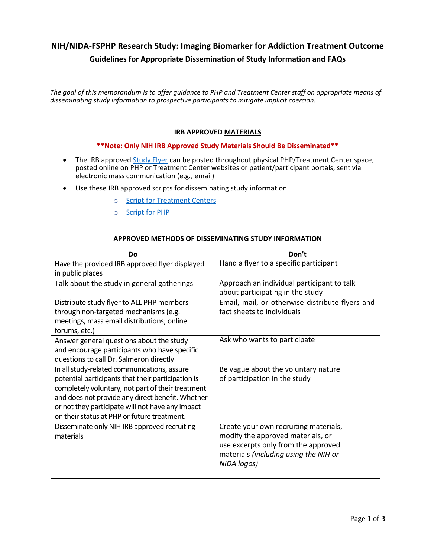# **NIH/NIDA-FSPHP Research Study: Imaging Biomarker for Addiction Treatment Outcome Guidelines for Appropriate Dissemination of Study Information and FAQs**

*The goal of this memorandum is to offer guidance to PHP and Treatment Center staff on appropriate means of disseminating study information to prospective participants to mitigate implicit coercion.*

#### **IRB APPROVED MATERIALS**

#### **\*\*Note: Only NIH IRB Approved Study Materials Should Be Disseminated\*\***

- The IRB approved Study Flyer can be posted throughout physical PHP/Treatment Center space, posted online on PHP or Treatment Center websites or patient/participant portals, sent via electronic mass communication (e.g., email)
- Use these IRB approved scripts for disseminating study information
	- o Script for Treatment Centers
	- o Script for PHP

| Do                                                 | Don't                                           |
|----------------------------------------------------|-------------------------------------------------|
| Have the provided IRB approved flyer displayed     | Hand a flyer to a specific participant          |
| in public places                                   |                                                 |
| Talk about the study in general gatherings         | Approach an individual participant to talk      |
|                                                    | about participating in the study                |
| Distribute study flyer to ALL PHP members          | Email, mail, or otherwise distribute flyers and |
| through non-targeted mechanisms (e.g.              | fact sheets to individuals                      |
| meetings, mass email distributions; online         |                                                 |
| forums, etc.)                                      |                                                 |
| Answer general questions about the study           | Ask who wants to participate                    |
| and encourage participants who have specific       |                                                 |
| questions to call Dr. Salmeron directly            |                                                 |
| In all study-related communications, assure        | Be vague about the voluntary nature             |
| potential participants that their participation is | of participation in the study                   |
| completely voluntary, not part of their treatment  |                                                 |
| and does not provide any direct benefit. Whether   |                                                 |
| or not they participate will not have any impact   |                                                 |
| on their status at PHP or future treatment.        |                                                 |
| Disseminate only NIH IRB approved recruiting       | Create your own recruiting materials,           |
| materials                                          | modify the approved materials, or               |
|                                                    | use excerpts only from the approved             |
|                                                    | materials (including using the NIH or           |
|                                                    | NIDA logos)                                     |
|                                                    |                                                 |

#### **APPROVED METHODS OF DISSEMINATING STUDY INFORMATION**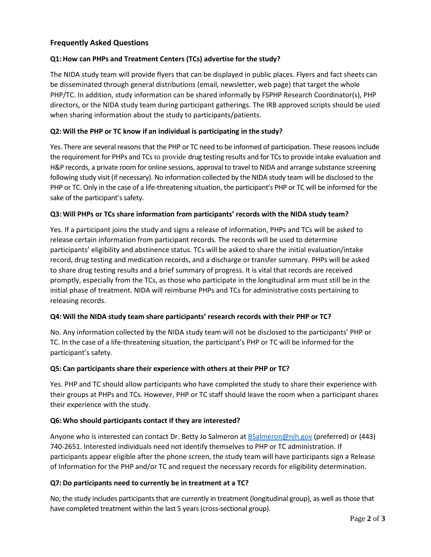# **Frequently Asked Questions**

## **Q1: How can PHPs and Treatment Centers (TCs) advertise for the study?**

The NIDA study team will provide flyers that can be displayed in public places. Flyers and fact sheets can be disseminated through general distributions (email, newsletter, web page) that target the whole PHP/TC. In addition, study information can be shared informally by FSPHP Research Coordinator(s), PHP directors, or the NIDA study team during participant gatherings. The IRB approved scripts should be used when sharing information about the study to participants/patients.

## **Q2: Will the PHP or TC know if an individual is participating in the study?**

Yes. There are several reasons that the PHP or TC need to be informed of participation. These reasons include the requirement for PHPs and TCs to provide drug testing results and for TCs to provide intake evaluation and H&P records, a private room for online sessions, approval to travel to NIDA and arrange substance screening following study visit (if necessary). No information collected by the NIDA study team will be disclosed to the PHP or TC. Only in the case of a life-threatening situation, the participant's PHP or TC will be informed for the sake of the participant's safety.

## **Q3: Will PHPs or TCs share information from participants' records with the NIDA study team?**

Yes. If a participant joins the study and signs a release of information, PHPs and TCs will be asked to release certain information from participant records. The records will be used to determine participants' eligibility and abstinence status. TCs will be asked to share the initial evaluation/intake record, drug testing and medication records, and a discharge or transfer summary. PHPs will be asked to share drug testing results and a brief summary of progress. It is vital that records are received promptly, especially from the TCs, as those who participate in the longitudinal arm must still be in the initial phase of treatment. NIDA will reimburse PHPs and TCs for administrative costs pertaining to releasing records.

#### **Q4: Will the NIDA study team share participants' research records with their PHP or TC?**

No. Any information collected by the NIDA study team will not be disclosed to the participants' PHP or TC. In the case of a life-threatening situation, the participant's PHP or TC will be informed for the participant's safety.

#### **Q5: Can participants share their experience with others at their PHP or TC?**

Yes. PHP and TC should allow participants who have completed the study to share their experience with their groups at PHPs and TCs. However, PHP or TC staff should leave the room when a participant shares their experience with the study.

#### **Q6: Who should participants contact if they are interested?**

Anyone who is interested can contact Dr. Betty Jo Salmeron at **BSalmeron@nih.gov** (preferred) or (443) 740-2651. Interested individuals need not identify themselves to PHP or TC administration. If participants appear eligible after the phone screen, the study team will have participants sign a Release of Information for the PHP and/or TC and request the necessary records for eligibility determination.

# **Q7: Do participants need to currently be in treatment at a TC?**

No; the study includes participants that are currently in treatment (longitudinal group), as well as those that have completed treatment within the last 5 years (cross-sectional group).